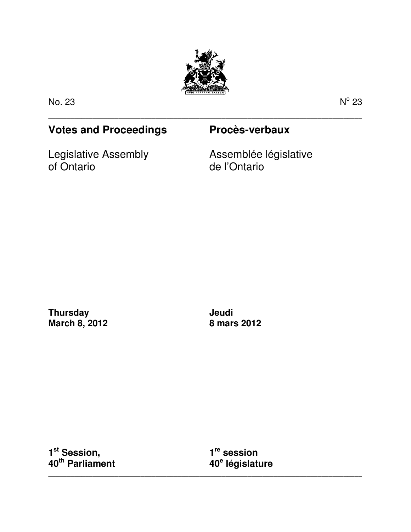

\_\_\_\_\_\_\_\_\_\_\_\_\_\_\_\_\_\_\_\_\_\_\_\_\_\_\_\_\_\_\_\_\_\_\_\_\_\_\_\_\_\_\_\_\_\_\_\_\_\_\_\_\_\_\_\_\_\_\_\_\_\_\_\_\_\_\_\_\_\_\_\_\_\_\_\_\_\_\_\_\_\_\_\_\_

No. 23 N

 $^{\circ}$  23

# **Votes and Proceedings Procès-verbaux**

Legislative Assembly of Ontario

Assemblée législative de l'Ontario

**Thursday March 8, 2012**  **Jeudi 8 mars 2012** 

**1 st Session, 40th Parliament** 

**1 re session 40<sup>e</sup> législature** 

\_\_\_\_\_\_\_\_\_\_\_\_\_\_\_\_\_\_\_\_\_\_\_\_\_\_\_\_\_\_\_\_\_\_\_\_\_\_\_\_\_\_\_\_\_\_\_\_\_\_\_\_\_\_\_\_\_\_\_\_\_\_\_\_\_\_\_\_\_\_\_\_\_\_\_\_\_\_\_\_\_\_\_\_\_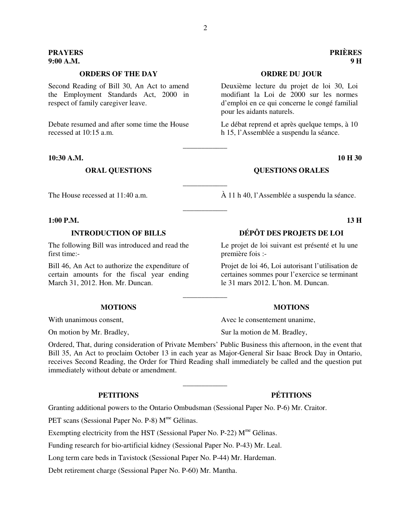# **ORDERS OF THE DAY ORDRE DU JOUR**

Second Reading of Bill 30, An Act to amend the Employment Standards Act, 2000 in respect of family caregiver leave.

Debate resumed and after some time the House recessed at 10:15 a.m.

**10:30 A.M. 10 H 30** 

### **1:00 P.M. 13 H**

The following Bill was introduced and read the first time:-

Bill 46, An Act to authorize the expenditure of certain amounts for the fiscal year ending March 31, 2012. Hon. Mr. Duncan.

Ordered, That, during consideration of Private Members' Public Business this afternoon, in the event that Bill 35, An Act to proclaim October 13 in each year as Major-General Sir Isaac Brock Day in Ontario, receives Second Reading, the Order for Third Reading shall immediately be called and the question put immediately without debate or amendment.

\_\_\_\_\_\_\_\_\_\_\_\_

\_\_\_\_\_\_\_\_\_\_\_\_

Granting additional powers to the Ontario Ombudsman (Sessional Paper No. P-6) Mr. Craitor.

PET scans (Sessional Paper No. P-8) M<sup>me</sup> Gélinas.

Exempting electricity from the HST (Sessional Paper No. P-22)  $M^{\text{me}}$  Gélinas.

Funding research for bio-artificial kidney (Sessional Paper No. P-43) Mr. Leal.

Long term care beds in Tavistock (Sessional Paper No. P-44) Mr. Hardeman.

Debt retirement charge (Sessional Paper No. P-60) Mr. Mantha.

Deuxième lecture du projet de loi 30, Loi modifiant la Loi de 2000 sur les normes d'emploi en ce qui concerne le congé familial pour les aidants naturels.

Le débat reprend et après quelque temps, à 10 h 15, l'Assemblée a suspendu la séance.

### **ORAL QUESTIONS COUNTING OUR OURSTIONS ORALES**

The House recessed at 11:40 a.m.  $\hat{A}$  11 h 40, l'Assemblée a suspendu la séance.

# **INTRODUCTION OF BILLS DÉPÔT DES PROJETS DE LOI**

Le projet de loi suivant est présenté et lu une première fois :-

Projet de loi 46, Loi autorisant l'utilisation de certaines sommes pour l'exercice se terminant le 31 mars 2012. L'hon. M. Duncan.

### **MOTIONS MOTIONS**

With unanimous consent. Avec le consentement unanime,

On motion by Mr. Bradley, Sur la motion de M. Bradley,

# **PETITIONS PÉTITIONS**

\_\_\_\_\_\_\_\_\_\_\_\_

\_\_\_\_\_\_\_\_\_\_\_\_

\_\_\_\_\_\_\_\_\_\_\_\_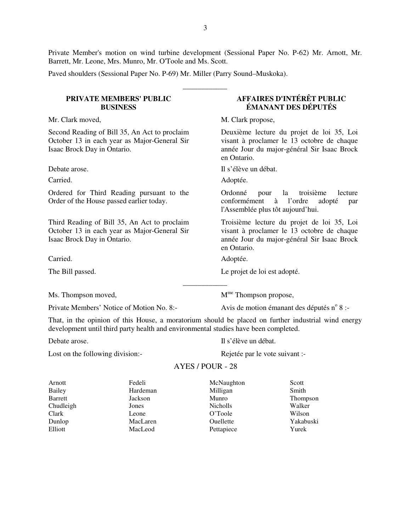Private Member's motion on wind turbine development (Sessional Paper No. P-62) Mr. Arnott, Mr. Barrett, Mr. Leone, Mrs. Munro, Mr. O'Toole and Ms. Scott.

\_\_\_\_\_\_\_\_\_\_\_\_

Paved shoulders (Sessional Paper No. P-69) Mr. Miller (Parry Sound–Muskoka).

### **PRIVATE MEMBERS' PUBLIC BUSINESS**

Mr. Clark moved, M. Clark propose,

Second Reading of Bill 35, An Act to proclaim October 13 in each year as Major-General Sir Isaac Brock Day in Ontario.

Ordered for Third Reading pursuant to the Order of the House passed earlier today.

Third Reading of Bill 35, An Act to proclaim October 13 in each year as Major-General Sir Isaac Brock Day in Ontario.

Carried. Adoptée.

Private Members' Notice of Motion No. 8:-

**AFFAIRES D'INTÉRÊT PUBLIC ÉMANANT DES DÉPUTÉS** 

Deuxième lecture du projet de loi 35, Loi visant à proclamer le 13 octobre de chaque année Jour du major-général Sir Isaac Brock en Ontario.

Debate arose. Il s'élève un débat.

Carried. Adoptée.

Ordonné pour la troisième lecture conformément à l'ordre adopté par l'Assemblée plus tôt aujourd'hui.

Troisième lecture du projet de loi 35, Loi visant à proclamer le 13 octobre de chaque année Jour du major-général Sir Isaac Brock en Ontario.

The Bill passed. Le projet de loi est adopté.

 $M<sup>me</sup>$  Thompson moved,  $M<sup>me</sup>$  Thompson propose,

Avis de motion émanant des députés n° 8 :-

That, in the opinion of this House, a moratorium should be placed on further industrial wind energy development until third party health and environmental studies have been completed.

\_\_\_\_\_\_\_\_\_\_\_\_

Lost on the following division:-<br>Rejetée par le vote suivant :-

Debate arose. Il s'élève un débat.

# AYES / POUR - 28

| Arnott    | Fedeli   | McNaughton       | Scott     |
|-----------|----------|------------------|-----------|
| Bailey    | Hardeman | Milligan         | Smith     |
| Barrett   | Jackson  | Munro            | Thompson  |
| Chudleigh | Jones    | <b>Nicholls</b>  | Walker    |
| Clark     | Leone    | O'Toole          | Wilson    |
| Dunlop    | MacLaren | <b>Ouellette</b> | Yakabuski |
| Elliott   | MacLeod  | Pettapiece       | Yurek     |
|           |          |                  |           |